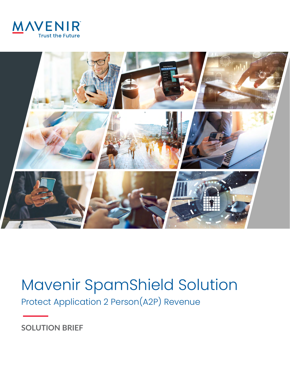



# Mavenir SpamShield Solution

Protect Application 2 Person(A2P) Revenue

**SOLUTION BRIEF**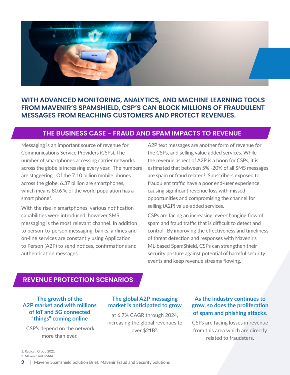

## **WITH ADVANCED MONITORING, ANALYTICS, AND MACHINE LEARNING TOOLS FROM MAVENIR'S SPAMSHIELD, CSP'S CAN BLOCK MILLIONS OF FRAUDULENT MESSAGES FROM REACHING CUSTOMERS AND PROTECT REVENUES.**

## **THE BUSINESS CASE - FRAUD AND SPAM IMPACTS TO REVENUE**

Messaging is an important source of revenue for Communications Service Providers (CSPs). The number of smartphones accessing carrier networks across the globe is increasing every year. The numbers are staggering. Of the 7.10 billion mobile phones across the globe, 6.37 billion are smartphones, which means 80.6 % of the world population has a smart phone<sup>1</sup>.

With the rise in smartphones, various notification capabilities were introduced, however SMS messaging is the most relevant channel. In addition to person-to-person messaging, banks, airlines and on-line services are constantly using Application to Person (A2P) to send notices, confirmations and authentication messages.

A2P text messages are another form of revenue for the CSPs, and selling value added services. While the revenue aspect of A2P is a boon for CSPs, it is estimated that between 5% -20% of all SMS messages are spam or fraud related<sup>2</sup>. Subscribers exposed to fraudulent traffic have a poor end-user experience, causing significant revenue loss with missed opportunities and compromising the channel for selling (A2P) value-added services.

CSPs are facing an increasing, ever-changing flow of spam and fraud traffic that is difficult to detect and control. By improving the effectiveness and timeliness of threat detection and responses with Mavenir's ML-based SpamShield, CSPs can strengthen their security posture against potential of harmful security events and keep revenue streams flowing.

### **REVENUE PROTECTION SCENARIOS**

#### **The growth of the A2P market and with millions of IoT and 5G connected "things" coming online**

 CSP's depend on the network more than ever.

#### **The global A2P messaging market is anticipated to grow**

at 6.7% CAGR through 2024, increasing the global revenues to over \$21B3.

#### **As the industry continues to grow, so does the proliferation of spam and phishing attacks**.

CSPs are facing losses in revenue from this area which are directly related to fraudsters.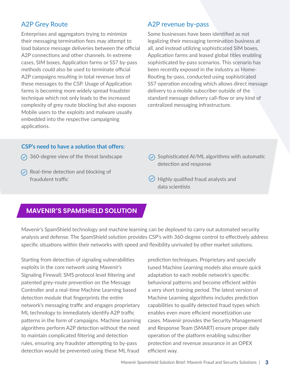# A2P Grey Route

Enterprises and aggregators trying to minimize their messaging termination fees may attempt to load balance message deliveries between the official A2P connections and other channels. In extreme cases, SIM boxes, Application farms or SS7 by-pass methods could also be used to terminate official A2P campaigns resulting in total revenue loss of these messages to the CSP. Usage of Application farms is becoming more widely spread fraudster technique which not only leads to the increased complexity of grey route blocking but also exposes Mobile users to the exploits and malware usually embedded into the respective campaigning applications.

## A2P revenue by-pass

Some businesses have been identified as not legalizing their messaging termination business at all, and instead utilizing sophisticated SIM boxes, Application farms and leased global titles enabling sophisticated by-pass scenarios. This scenario has been recently exposed in the industry as Home-Routing by-pass, conducted using sophisticated SS7 operation encoding which allows direct message delivery to a mobile subscriber outside of the standard message delivery call-flow or any kind of centralized messaging infrastructure.

#### **CSP's need to have a solution that offers:**

- $\circledcirc$  360-degree view of the threat landscape
- $\circled{C}$  Real-time detection and blocking of fraudulent traffic
- $\odot$  Sophisticated AI/ML algorithms with automatic detection and response
- $\heartsuit$  Highly qualified fraud analysts and data scientists

# **MAVENIR'S SPAMSHIELD SOLUTION**

Mavenir's SpamShield technology and machine learning can be deployed to carry out automated security analysis and defense. The SpamShield solution provides CSP's with 360-degree control to effectively address specific situations within their networks with speed and flexibility unrivaled by other market solutions.

Starting from detection of signaling vulnerabilities exploits in the core network using Mavenir's Signaling Firewall; SMS protocol level filtering and patented grey-route prevention on the Message Controller and a real-time Machine Learning based detection module that fingerprints the entire network's messaging traffic and engages proprietary ML technology to immediately identify A2P traffic patterns in the form of campaigns. Machine Learning algorithms perform A2P detection without the need to maintain complicated filtering and detection rules, ensuring any fraudster attempting to by-pass detection would be prevented using these ML fraud

prediction techniques. Proprietary and specially tuned Machine Learning models also ensure quick adaptation to each mobile network's specific behavioral patterns and become efficient within a very short training period. The latest version of Machine Learning algorithms includes prediction capabilities to qualify detected fraud types which enables even more efficient monetization use cases. Mavenir provides the Security Management and Response Team (SMART) ensure proper daily operation of the platform enabling subscriber protection and revenue assurance in an OPEX efficient way.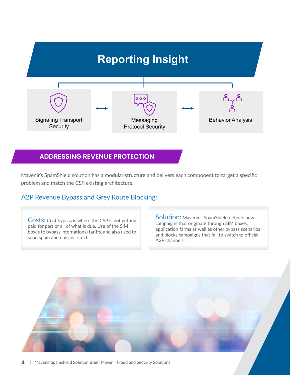

### **ADDRESSING REVENUE PROTECTION**

Mavenir's SpamShield solution has a modular structure and delivers each component to target a specific problem and match the CSP existing architecture.

## A2P Revenue Bypass and Grey Route Blocking:

**Costs:** Cost bypass is where the CSP is not getting paid for part or all of what is due. Use of the SIM boxes to bypass international tariffs, and also used to send spam and nuisance texts.

Solution: Mavenir's SpamShield detects new campaigns that originate through SIM boxes, application farms as well as other bypass scenarios and blocks campaigns that fail to switch to official A2P channels.

**4** | Mavenir Spamshield Solution Brief: Mavenir Fraud and Security Solutions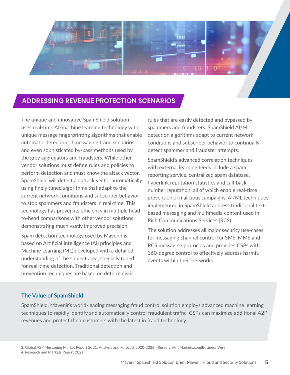

### **ADDRESSING REVENUE PROTECTION SCENARIOS**

The unique and innovative SpamShield solution uses real-time AI/machine learning technology with unique message fingerprinting algorithms that enable automatic detection of messaging fraud scenarios and even sophisticated by-pass methods used by the grey aggregators and fraudsters. While other vendor solutions must define rules and policies to perform detection and must know the attack vector, SpamShield will detect an attack vector automatically using finely tuned algorithms that adapt to the current network conditions and subscriber behavior to stop spammers and fraudsters in real-time. This technology has proven its efficiency in multiple headto-head comparisons with other vendor solutions demonstrating much vastly improved precision.

Spam detection technology used by Mavenir is based on Artificial Intelligence (AI) principles and Machine Learning (ML) developed with a detailed understanding of the subject area, specially tuned for real-time detection. Traditional detection and prevention techniques are based on deterministic rules that are easily detected and bypassed by spammers and fraudsters. SpamShield AI/ML detection algorithms adapt to current network conditions and subscriber behavior to continually detect spammer and fraudster attempts.

SpamShield's advanced correlation techniques with external learning feeds include a spam reporting service, centralized spam database, hyperlink reputation statistics and call-back number reputation, all of which enable real-time prevention of malicious campaigns. AI/ML techniques implemented in SpamShield address traditional textbased messaging and multimedia content used in Rich Communications Services (RCS).

The solution addresses all major security use-cases for messaging channel control for SMS, MMS and RCS messaging protocols and provides CSPs with 360-degree control to effectively address harmful events within their networks.

#### **The Value of SpamShield**

SpamShield, Mavenir's world-leading messaging fraud control solution employs advanced machine learning techniques to rapidly identify and automatically control fraudulent traffic. CSPs can maximize additional A2P revenues and protect their customers with the latest in fraud technology.

4. Research and Markets Report 2021

<sup>3.</sup> Global A2P Messaging Market Report 2021: Analysis and Forecast 2020-2026 - ResearchAndMarkets.com|Business Wire